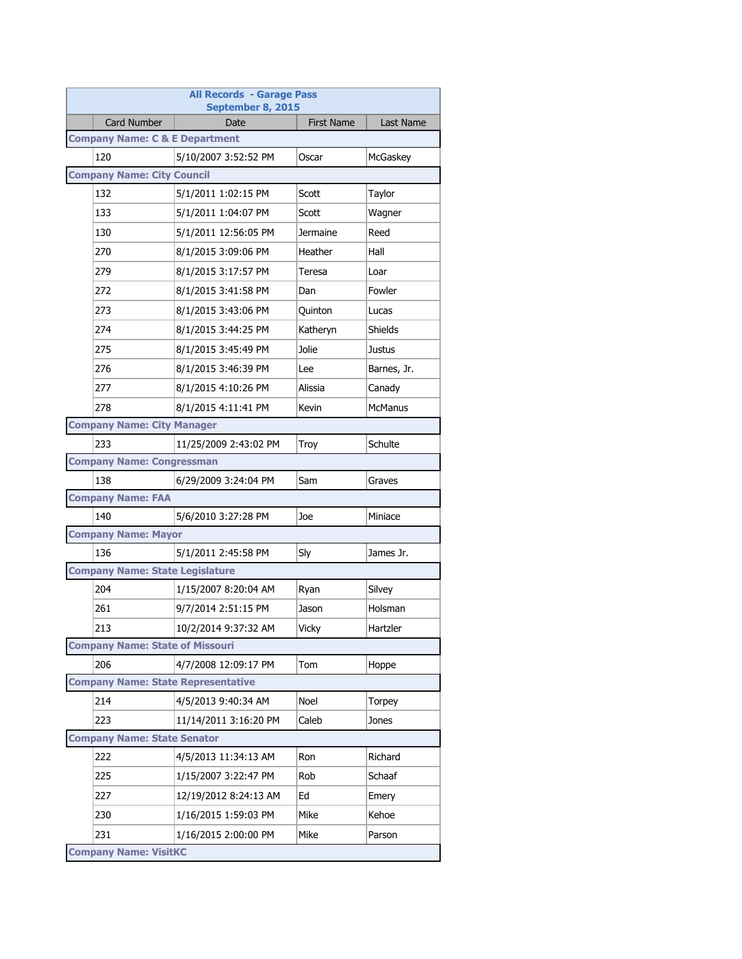| <b>All Records - Garage Pass</b><br>September 8, 2015 |                       |                   |                |  |
|-------------------------------------------------------|-----------------------|-------------------|----------------|--|
| <b>Card Number</b>                                    | Date                  | <b>First Name</b> | Last Name      |  |
| <b>Company Name: C &amp; E Department</b>             |                       |                   |                |  |
| 120                                                   | 5/10/2007 3:52:52 PM  | Oscar             | McGaskey       |  |
| <b>Company Name: City Council</b>                     |                       |                   |                |  |
| 132                                                   | 5/1/2011 1:02:15 PM   | Scott             | Taylor         |  |
| 133                                                   | 5/1/2011 1:04:07 PM   | Scott             | Wagner         |  |
| 130                                                   | 5/1/2011 12:56:05 PM  | Jermaine          | Reed           |  |
| 270                                                   | 8/1/2015 3:09:06 PM   | Heather           | Hall           |  |
| 279                                                   | 8/1/2015 3:17:57 PM   | Teresa            | Loar           |  |
| 272                                                   | 8/1/2015 3:41:58 PM   | Dan               | Fowler         |  |
| 273                                                   | 8/1/2015 3:43:06 PM   | Quinton           | Lucas          |  |
| 274                                                   | 8/1/2015 3:44:25 PM   | Katheryn          | Shields        |  |
| 275                                                   | 8/1/2015 3:45:49 PM   | Jolie             | Justus         |  |
| 276                                                   | 8/1/2015 3:46:39 PM   | Lee               | Barnes, Jr.    |  |
| 277                                                   | 8/1/2015 4:10:26 PM   | Alissia           | Canady         |  |
| 278                                                   | 8/1/2015 4:11:41 PM   | Kevin             | <b>McManus</b> |  |
| <b>Company Name: City Manager</b>                     |                       |                   |                |  |
| 233                                                   | 11/25/2009 2:43:02 PM | Troy              | Schulte        |  |
| <b>Company Name: Congressman</b>                      |                       |                   |                |  |
| 138                                                   | 6/29/2009 3:24:04 PM  | Sam               | Graves         |  |
| <b>Company Name: FAA</b>                              |                       |                   |                |  |
| 140                                                   | 5/6/2010 3:27:28 PM   | Joe               | Miniace        |  |
| <b>Company Name: Mayor</b>                            |                       |                   |                |  |
| 136                                                   | 5/1/2011 2:45:58 PM   | Sly               | James Jr.      |  |
| <b>Company Name: State Legislature</b>                |                       |                   |                |  |
| 204                                                   | 1/15/2007 8:20:04 AM  | Ryan              | Silvey         |  |
| 261                                                   | 9/7/2014 2:51:15 PM   | Jason             | Holsman        |  |
| 213                                                   | 10/2/2014 9:37:32 AM  | Vicky             | Hartzler       |  |
| <b>Company Name: State of Missouri</b>                |                       |                   |                |  |
| 206                                                   | 4/7/2008 12:09:17 PM  | Tom               | Hoppe          |  |
| <b>Company Name: State Representative</b>             |                       |                   |                |  |
| 214                                                   | 4/5/2013 9:40:34 AM   | Noel              | Torpey         |  |
| 223                                                   | 11/14/2011 3:16:20 PM | Caleb             | Jones          |  |
| <b>Company Name: State Senator</b>                    |                       |                   |                |  |
| 222                                                   | 4/5/2013 11:34:13 AM  | Ron               | Richard        |  |
| 225                                                   | 1/15/2007 3:22:47 PM  | Rob               | Schaaf         |  |
| 227                                                   | 12/19/2012 8:24:13 AM | Ed                | Emery          |  |
| 230                                                   | 1/16/2015 1:59:03 PM  | Mike              | Kehoe          |  |
| 231                                                   | 1/16/2015 2:00:00 PM  | Mike              | Parson         |  |
| <b>Company Name: VisitKC</b>                          |                       |                   |                |  |